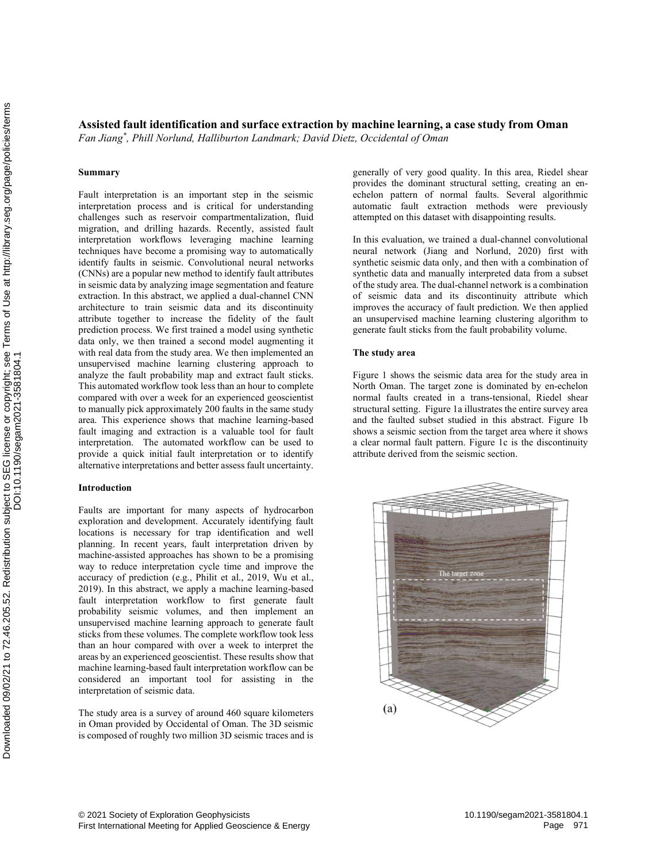# Assisted fault identification and surface extraction by machine learning, a case study from Oman

Fan Jiang\* , Phill Norlund, Halliburton Landmark; David Dietz, Occidental of Oman

## Summary

Fault interpretation is an important step in the seismic interpretation process and is critical for understanding challenges such as reservoir compartmentalization, fluid migration, and drilling hazards. Recently, assisted fault interpretation workflows leveraging machine learning techniques have become a promising way to automatically identify faults in seismic. Convolutional neural networks (CNNs) are a popular new method to identify fault attributes in seismic data by analyzing image segmentation and feature extraction. In this abstract, we applied a dual-channel CNN architecture to train seismic data and its discontinuity attribute together to increase the fidelity of the fault prediction process. We first trained a model using synthetic data only, we then trained a second model augmenting it with real data from the study area. We then implemented an unsupervised machine learning clustering approach to analyze the fault probability map and extract fault sticks. This automated workflow took less than an hour to complete compared with over a week for an experienced geoscientist to manually pick approximately 200 faults in the same study area. This experience shows that machine learning-based fault imaging and extraction is a valuable tool for fault interpretation. The automated workflow can be used to provide a quick initial fault interpretation or to identify alternative interpretations and better assess fault uncertainty. Assisted fault identification and surface extra<br>
Fun Jung', Phill Norhund, Halliburton Landmark: D.<br>
Summary<br>
Fun Jung', Phill Norhund, Halliburton Landmark: D.<br>
Summary<br>
Fun Jung', Phill Norhund, Halliburton Landmark: D.

# Introduction

Faults are important for many aspects of hydrocarbon exploration and development. Accurately identifying fault locations is necessary for trap identification and well planning. In recent years, fault interpretation driven by machine-assisted approaches has shown to be a promising way to reduce interpretation cycle time and improve the accuracy of prediction (e.g., Philit et al., 2019, Wu et al., 2019). In this abstract, we apply a machine learning-based fault interpretation workflow to first generate fault probability seismic volumes, and then implement an unsupervised machine learning approach to generate fault sticks from these volumes. The complete workflow took less than an hour compared with over a week to interpret the areas by an experienced geoscientist. These results show that machine learning-based fault interpretation workflow can be considered an important tool for assisting in the interpretation of seismic data.

The study area is a survey of around 460 square kilometers in Oman provided by Occidental of Oman. The 3D seismic is composed of roughly two million 3D seismic traces and is generally of very good quality. In this area, Riedel shear provides the dominant structural setting, creating an enechelon pattern of normal faults. Several algorithmic automatic fault extraction methods were previously attempted on this dataset with disappointing results.

In this evaluation, we trained a dual-channel convolutional neural network (Jiang and Norlund, 2020) first with synthetic seismic data only, and then with a combination of synthetic data and manually interpreted data from a subset of the study area. The dual-channel network is a combination of seismic data and its discontinuity attribute which improves the accuracy of fault prediction. We then applied an unsupervised machine learning clustering algorithm to generate fault sticks from the fault probability volume.

#### The study area

Figure 1 shows the seismic data area for the study area in North Oman. The target zone is dominated by en-echelon normal faults created in a trans-tensional, Riedel shear structural setting. Figure 1a illustrates the entire survey area and the faulted subset studied in this abstract. Figure 1b shows a seismic section from the target area where it shows a clear normal fault pattern. Figure 1c is the discontinuity attribute derived from the seismic section.

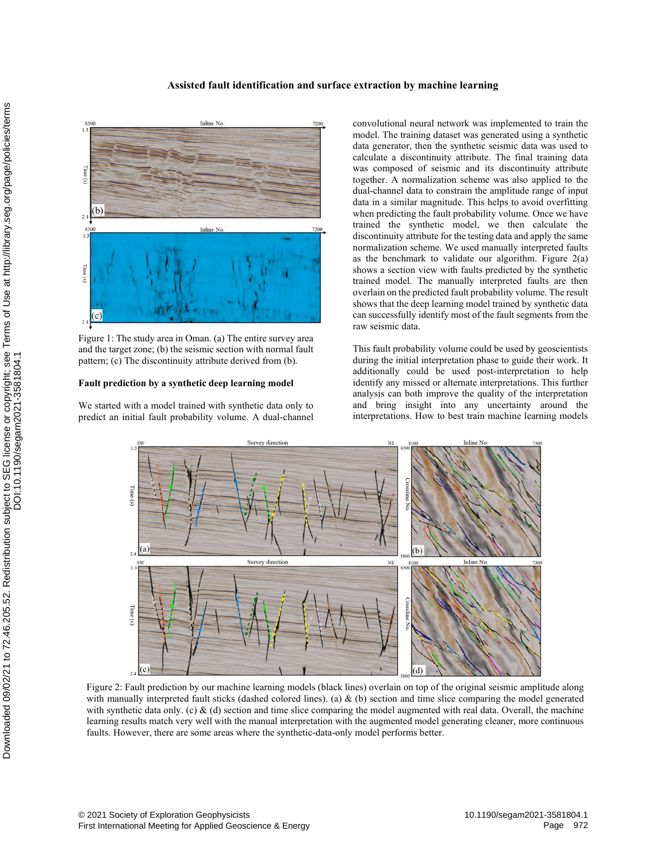# Assisted fault identification and surface extraction by machine learning



Figure 1: The study area in Oman. (a) The entire survey area and the target zone; (b) the seismic section with normal fault pattern; (c) The discontinuity attribute derived from (b).

#### Fault prediction by a synthetic deep learning model

We started with a model trained with synthetic data only to predict an initial fault probability volume. A dual-channel

convolutional neural network was implemented to train the model. The training dataset was generated using a synthetic data generator, then the synthetic seismic data was used to calculate a discontinuity attribute. The final training data was composed of seismic and its discontinuity attribute together. A normalization scheme was also applied to the dual-channel data to constrain the amplitude range of input data in a similar magnitude. This helps to avoid overfitting when predicting the fault probability volume. Once we have trained the synthetic model, we then calculate the discontinuity attribute for the testing data and apply the same normalization scheme. We used manually interpreted faults as the benchmark to validate our algorithm. Figure  $2(a)$ shows a section view with faults predicted by the synthetic trained model. The manually interpreted faults are then overlain on the predicted fault probability volume. The result shows that the deep learning model trained by synthetic data can successfully identify most of the fault segments from the raw seismic data.

This fault probability volume could be used by geoscientists during the initial interpretation phase to guide their work. It additionally could be used post-interpretation to help identify any missed or alternate interpretations. This further analysis can both improve the quality of the interpretation and bring insight into any uncertainty around the interpretations. How to best train machine learning models



Figure 2: Fault prediction by our machine learning models (black lines) overlain on top of the original seismic amplitude along with manually interpreted fault sticks (dashed colored lines). (a)  $\&$  (b) section and time slice comparing the model generated with synthetic data only. (c)  $\&$  (d) section and time slice comparing the model augmented with real data. Overall, the machine learning results match very well with the manual interpretation with the augmented model generating cleaner, more continuous faults. However, there are some areas where the synthetic-data-only model performs better.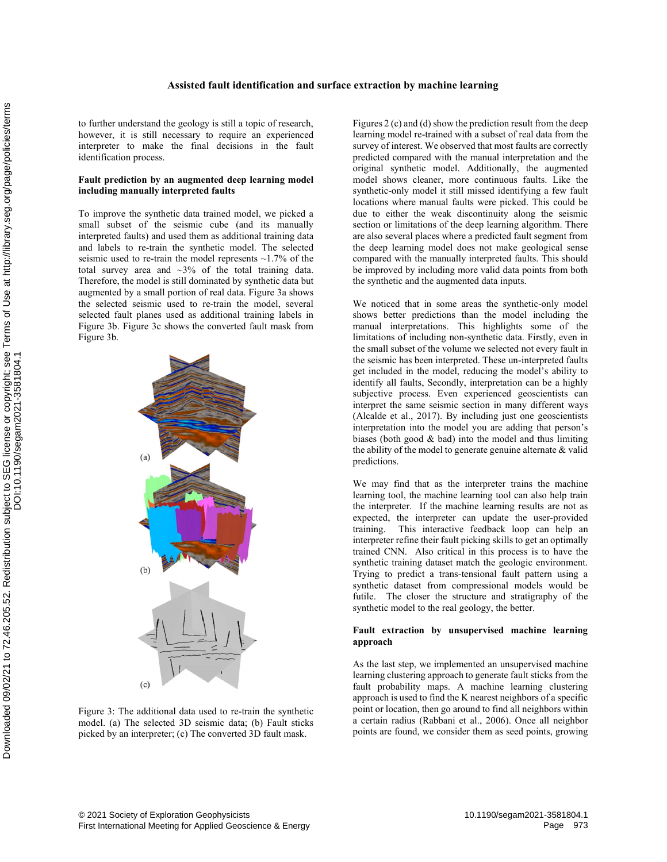#### Assisted fault identification and surface extraction by machine learning

to further understand the geology is still a topic of research, however, it is still necessary to require an experienced interpreter to make the final decisions in the fault identification process.

#### Fault prediction by an augmented deep learning model including manually interpreted faults

To improve the synthetic data trained model, we picked a small subset of the seismic cube (and its manually interpreted faults) and used them as additional training data and labels to re-train the synthetic model. The selected seismic used to re-train the model represents  $\sim$ 1.7% of the total survey area and  $\sim$ 3% of the total training data. Therefore, the model is still dominated by synthetic data but augmented by a small portion of real data. Figure 3a shows the selected seismic used to re-train the model, several selected fault planes used as additional training labels in Figure 3b. Figure 3c shows the converted fault mask from Figure 3b.



Figure 3: The additional data used to re-train the synthetic model. (a) The selected 3D seismic data; (b) Fault sticks picked by an interpreter; (c) The converted 3D fault mask.

Figures 2 (c) and (d) show the prediction result from the deep learning model re-trained with a subset of real data from the survey of interest. We observed that most faults are correctly predicted compared with the manual interpretation and the original synthetic model. Additionally, the augmented model shows cleaner, more continuous faults. Like the synthetic-only model it still missed identifying a few fault locations where manual faults were picked. This could be due to either the weak discontinuity along the seismic section or limitations of the deep learning algorithm. There are also several places where a predicted fault segment from the deep learning model does not make geological sense compared with the manually interpreted faults. This should be improved by including more valid data points from both the synthetic and the augmented data inputs.

We noticed that in some areas the synthetic-only model shows better predictions than the model including the manual interpretations. This highlights some of the limitations of including non-synthetic data. Firstly, even in the small subset of the volume we selected not every fault in the seismic has been interpreted. These un-interpreted faults get included in the model, reducing the model's ability to identify all faults, Secondly, interpretation can be a highly subjective process. Even experienced geoscientists can interpret the same seismic section in many different ways (Alcalde et al., 2017). By including just one geoscientists interpretation into the model you are adding that person's biases (both good & bad) into the model and thus limiting the ability of the model to generate genuine alternate & valid predictions.

We may find that as the interpreter trains the machine learning tool, the machine learning tool can also help train the interpreter. If the machine learning results are not as expected, the interpreter can update the user-provided training. This interactive feedback loop can help an interpreter refine their fault picking skills to get an optimally trained CNN. Also critical in this process is to have the synthetic training dataset match the geologic environment. Trying to predict a trans-tensional fault pattern using a synthetic dataset from compressional models would be futile. The closer the structure and stratigraphy of the synthetic model to the real geology, the better.

# Fault extraction by unsupervised machine learning approach

As the last step, we implemented an unsupervised machine learning clustering approach to generate fault sticks from the fault probability maps. A machine learning clustering approach is used to find the K nearest neighbors of a specific point or location, then go around to find all neighbors within a certain radius (Rabbani et al., 2006). Once all neighbor points are found, we consider them as seed points, growing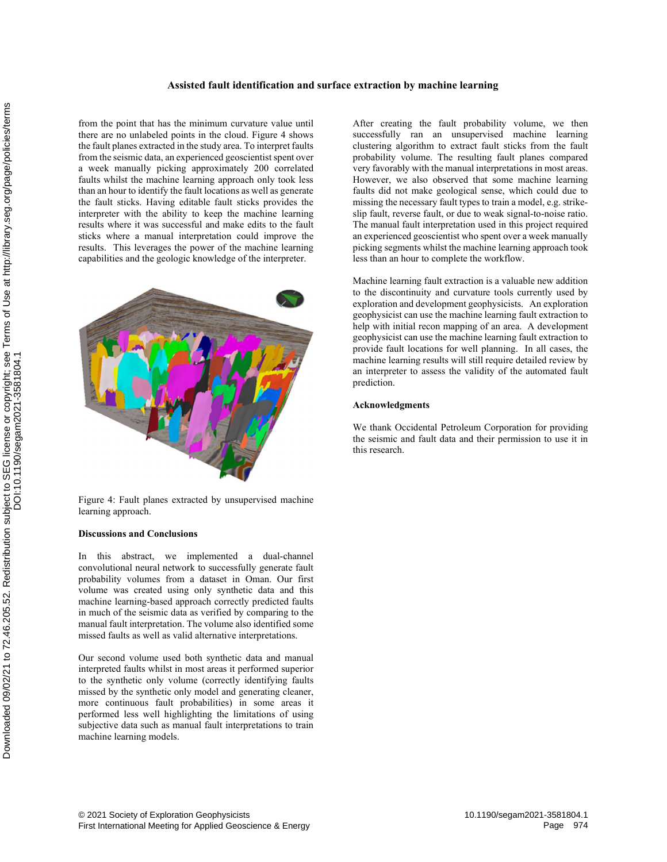# Assisted fault identification and surface extraction by machine learning

from the point that has the minimum curvature value until there are no unlabeled points in the cloud. Figure 4 shows the fault planes extracted in the study area. To interpret faults from the seismic data, an experienced geoscientist spent over a week manually picking approximately 200 correlated faults whilst the machine learning approach only took less than an hour to identify the fault locations as well as generate the fault sticks. Having editable fault sticks provides the interpreter with the ability to keep the machine learning results where it was successful and make edits to the fault sticks where a manual interpretation could improve the results. This leverages the power of the machine learning capabilities and the geologic knowledge of the interpreter.



Figure 4: Fault planes extracted by unsupervised machine learning approach.

#### Discussions and Conclusions

this abstract, we implemented a dual-channel convolutional neural network to successfully generate fault probability volumes from a dataset in Oman. Our first volume was created using only synthetic data and this machine learning-based approach correctly predicted faults in much of the seismic data as verified by comparing to the manual fault interpretation. The volume also identified some missed faults as well as valid alternative interpretations.

Our second volume used both synthetic data and manual interpreted faults whilst in most areas it performed superior to the synthetic only volume (correctly identifying faults missed by the synthetic only model and generating cleaner, more continuous fault probabilities) in some areas it performed less well highlighting the limitations of using subjective data such as manual fault interpretations to train machine learning models.

After creating the fault probability volume, we then successfully ran an unsupervised machine learning clustering algorithm to extract fault sticks from the fault probability volume. The resulting fault planes compared very favorably with the manual interpretations in most areas. However, we also observed that some machine learning faults did not make geological sense, which could due to missing the necessary fault types to train a model, e.g. strikeslip fault, reverse fault, or due to weak signal-to-noise ratio. The manual fault interpretation used in this project required an experienced geoscientist who spent over a week manually picking segments whilst the machine learning approach took less than an hour to complete the workflow.

Machine learning fault extraction is a valuable new addition to the discontinuity and curvature tools currently used by exploration and development geophysicists. An exploration geophysicist can use the machine learning fault extraction to help with initial recon mapping of an area. A development geophysicist can use the machine learning fault extraction to provide fault locations for well planning. In all cases, the machine learning results will still require detailed review by an interpreter to assess the validity of the automated fault prediction.

#### Acknowledgments

We thank Occidental Petroleum Corporation for providing the seismic and fault data and their permission to use it in this research.